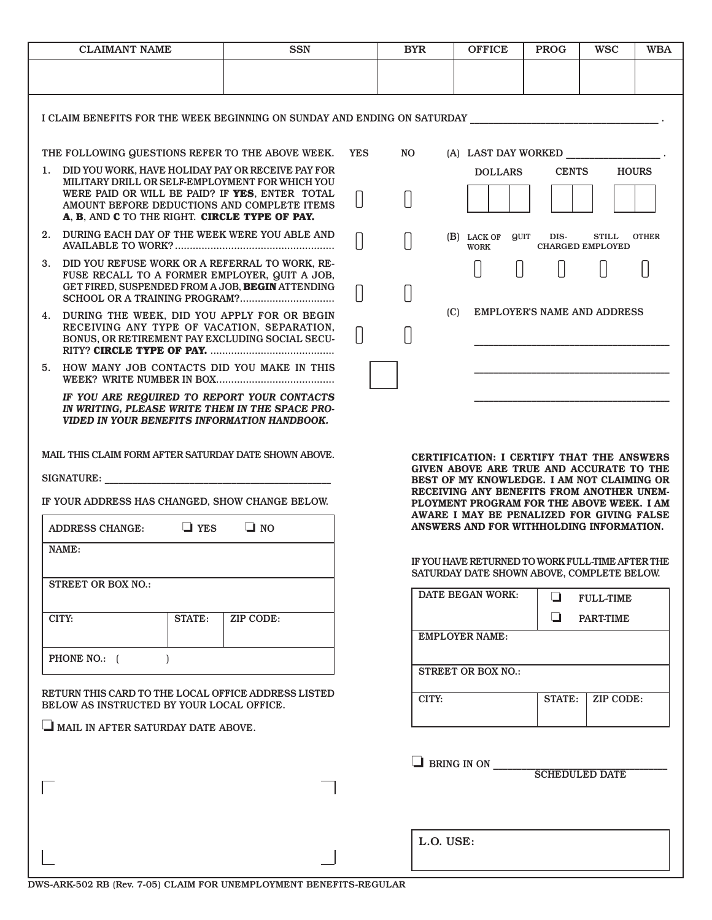| <b>CLAIMANT NAME</b>                                                                                                                                                        |                                                                                                                                                        | <b>SSN</b> |  | <b>BYR</b>            |                                                                                                                                                                                                                                                                                                                        | <b>OFFICE</b>                               | <b>PROG</b>   | <b>WSC</b>                              | <b>WBA</b>   |  |
|-----------------------------------------------------------------------------------------------------------------------------------------------------------------------------|--------------------------------------------------------------------------------------------------------------------------------------------------------|------------|--|-----------------------|------------------------------------------------------------------------------------------------------------------------------------------------------------------------------------------------------------------------------------------------------------------------------------------------------------------------|---------------------------------------------|---------------|-----------------------------------------|--------------|--|
|                                                                                                                                                                             |                                                                                                                                                        |            |  |                       |                                                                                                                                                                                                                                                                                                                        |                                             |               |                                         |              |  |
|                                                                                                                                                                             |                                                                                                                                                        |            |  |                       |                                                                                                                                                                                                                                                                                                                        |                                             |               |                                         |              |  |
| I CLAIM BENEFITS FOR THE WEEK BEGINNING ON SUNDAY AND ENDING ON SATURDAY AND AND RESERVE AND RESERVE TO A LIMI                                                              |                                                                                                                                                        |            |  |                       |                                                                                                                                                                                                                                                                                                                        |                                             |               |                                         |              |  |
|                                                                                                                                                                             | THE FOLLOWING QUESTIONS REFER TO THE ABOVE WEEK.                                                                                                       |            |  | NO.                   | (A) LAST DAY WORKED .                                                                                                                                                                                                                                                                                                  |                                             |               |                                         |              |  |
|                                                                                                                                                                             | 1. DID YOU WORK, HAVE HOLIDAY PAY OR RECEIVE PAY FOR<br>MILITARY DRILL OR SELF-EMPLOYMENT FOR WHICH YOU                                                |            |  |                       |                                                                                                                                                                                                                                                                                                                        | <b>DOLLARS</b>                              | <b>CENTS</b>  |                                         | <b>HOURS</b> |  |
|                                                                                                                                                                             | WERE PAID OR WILL BE PAID? IF YES, ENTER TOTAL<br>AMOUNT BEFORE DEDUCTIONS AND COMPLETE ITEMS<br>A, B, AND C TO THE RIGHT. CIRCLE TYPE OF PAY.         |            |  |                       |                                                                                                                                                                                                                                                                                                                        |                                             |               |                                         |              |  |
| 2.                                                                                                                                                                          | DURING EACH DAY OF THE WEEK WERE YOU ABLE AND                                                                                                          |            |  |                       |                                                                                                                                                                                                                                                                                                                        | <b>QUIT</b><br>$(B)$ LACK OF<br><b>WORK</b> | DIS-          | <b>STILL</b><br><b>CHARGED EMPLOYED</b> | <b>OTHER</b> |  |
|                                                                                                                                                                             | 3. DID YOU REFUSE WORK OR A REFERRAL TO WORK, RE-<br>FUSE RECALL TO A FORMER EMPLOYER, QUIT A JOB,<br>GET FIRED, SUSPENDED FROM A JOB, BEGIN ATTENDING |            |  |                       |                                                                                                                                                                                                                                                                                                                        |                                             |               |                                         |              |  |
|                                                                                                                                                                             | 4. DURING THE WEEK, DID YOU APPLY FOR OR BEGIN                                                                                                         |            |  |                       | <b>EMPLOYER'S NAME AND ADDRESS</b><br>(C)                                                                                                                                                                                                                                                                              |                                             |               |                                         |              |  |
|                                                                                                                                                                             | RECEIVING ANY TYPE OF VACATION, SEPARATION,<br>BONUS, OR RETIREMENT PAY EXCLUDING SOCIAL SECU-                                                         |            |  |                       |                                                                                                                                                                                                                                                                                                                        |                                             |               |                                         |              |  |
|                                                                                                                                                                             | 5. HOW MANY JOB CONTACTS DID YOU MAKE IN THIS                                                                                                          |            |  |                       |                                                                                                                                                                                                                                                                                                                        |                                             |               |                                         |              |  |
| IF YOU ARE REQUIRED TO REPORT YOUR CONTACTS<br>IN WRITING, PLEASE WRITE THEM IN THE SPACE PRO-<br>VIDED IN YOUR BENEFITS INFORMATION HANDBOOK.                              |                                                                                                                                                        |            |  |                       |                                                                                                                                                                                                                                                                                                                        |                                             |               |                                         |              |  |
| MAIL THIS CLAIM FORM AFTER SATURDAY DATE SHOWN ABOVE.<br>SIGNATURE:<br>IF YOUR ADDRESS HAS CHANGED, SHOW CHANGE BELOW.<br>$\Box$ NO<br>$\Box$ YES<br><b>ADDRESS CHANGE:</b> |                                                                                                                                                        |            |  |                       | CERTIFICATION: I CERTIFY THAT THE ANSWERS<br>GIVEN ABOVE ARE TRUE AND ACCURATE TO THE<br>BEST OF MY KNOWLEDGE. I AM NOT CLAIMING OR<br>RECEIVING ANY BENEFITS FROM ANOTHER UNEM-<br>PLOYMENT PROGRAM FOR THE ABOVE WEEK. I AM<br>AWARE I MAY BE PENALIZED FOR GIVING FALSE<br>ANSWERS AND FOR WITHHOLDING INFORMATION. |                                             |               |                                         |              |  |
|                                                                                                                                                                             | NAME:                                                                                                                                                  |            |  |                       |                                                                                                                                                                                                                                                                                                                        |                                             |               |                                         |              |  |
|                                                                                                                                                                             |                                                                                                                                                        |            |  |                       | IF YOU HAVE RETURNED TO WORK FULL-TIME AFTER THE<br>SATURDAY DATE SHOWN ABOVE, COMPLETE BELOW.                                                                                                                                                                                                                         |                                             |               |                                         |              |  |
| <b>STREET OR BOX NO.:</b>                                                                                                                                                   |                                                                                                                                                        |            |  |                       |                                                                                                                                                                                                                                                                                                                        | DATE BEGAN WORK:<br>❏<br><b>FULL-TIME</b>   |               |                                         |              |  |
|                                                                                                                                                                             | CITY:<br><b>STATE:</b>                                                                                                                                 | ZIP CODE:  |  |                       |                                                                                                                                                                                                                                                                                                                        |                                             | ❏             | <b>PART-TIME</b>                        |              |  |
|                                                                                                                                                                             |                                                                                                                                                        |            |  |                       | <b>EMPLOYER NAME:</b>                                                                                                                                                                                                                                                                                                  |                                             |               |                                         |              |  |
| PHONE NO.: (                                                                                                                                                                |                                                                                                                                                        |            |  |                       | <b>STREET OR BOX NO.:</b>                                                                                                                                                                                                                                                                                              |                                             |               |                                         |              |  |
| RETURN THIS CARD TO THE LOCAL OFFICE ADDRESS LISTED<br>BELOW AS INSTRUCTED BY YOUR LOCAL OFFICE.                                                                            |                                                                                                                                                        |            |  | CITY:                 |                                                                                                                                                                                                                                                                                                                        |                                             | <b>STATE:</b> | ZIP CODE:                               |              |  |
|                                                                                                                                                                             | MAIL IN AFTER SATURDAY DATE ABOVE.                                                                                                                     |            |  |                       |                                                                                                                                                                                                                                                                                                                        |                                             |               |                                         |              |  |
|                                                                                                                                                                             |                                                                                                                                                        |            |  | $\Box$ BRING IN ON    |                                                                                                                                                                                                                                                                                                                        |                                             |               |                                         |              |  |
|                                                                                                                                                                             |                                                                                                                                                        |            |  | <b>SCHEDULED DATE</b> |                                                                                                                                                                                                                                                                                                                        |                                             |               |                                         |              |  |
|                                                                                                                                                                             |                                                                                                                                                        |            |  |                       |                                                                                                                                                                                                                                                                                                                        |                                             |               |                                         |              |  |
|                                                                                                                                                                             |                                                                                                                                                        |            |  |                       |                                                                                                                                                                                                                                                                                                                        |                                             |               |                                         |              |  |
|                                                                                                                                                                             |                                                                                                                                                        |            |  | L.O. USE:             |                                                                                                                                                                                                                                                                                                                        |                                             |               |                                         |              |  |
|                                                                                                                                                                             |                                                                                                                                                        |            |  |                       |                                                                                                                                                                                                                                                                                                                        |                                             |               |                                         |              |  |